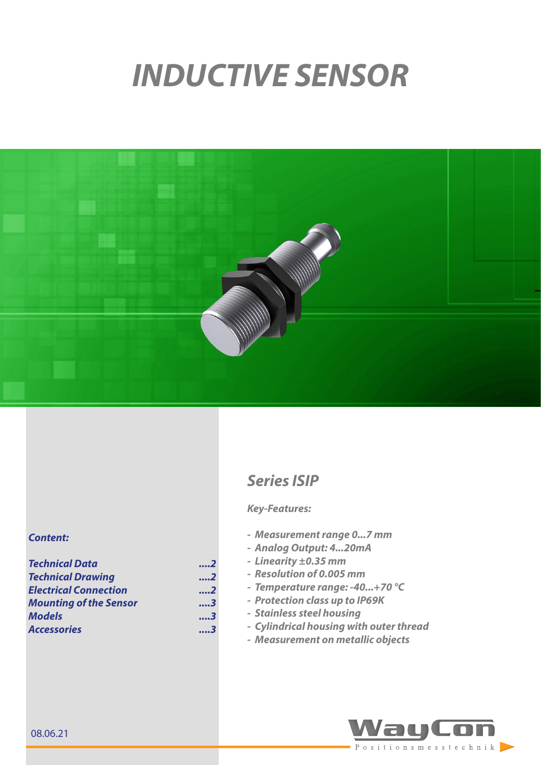# *INDUCTIVE SENSOR*



# *Content:*

| <b>Technical Data</b>         | 2 |  |
|-------------------------------|---|--|
| <b>Technical Drawing</b>      | 2 |  |
| <b>Electrical Connection</b>  | 2 |  |
| <b>Mounting of the Sensor</b> | 3 |  |
| <b>Models</b>                 | 3 |  |
| <b>Accessories</b>            | 3 |  |

# *Series ISIP*

### *Key-Features:*

- *- Measurement range 0...7 mm*
- *- Analog Output: 4...20mA*
- *- Linearity ±0.35 mm*
- *- Resolution of 0.005 mm*
- *- Temperature range: -40...+70 °C*
- *- Protection class up to IP69K*
- *- Stainless steel housing*
- *- Cylindrical housing with outer thread*
- *- Measurement on metallic objects*

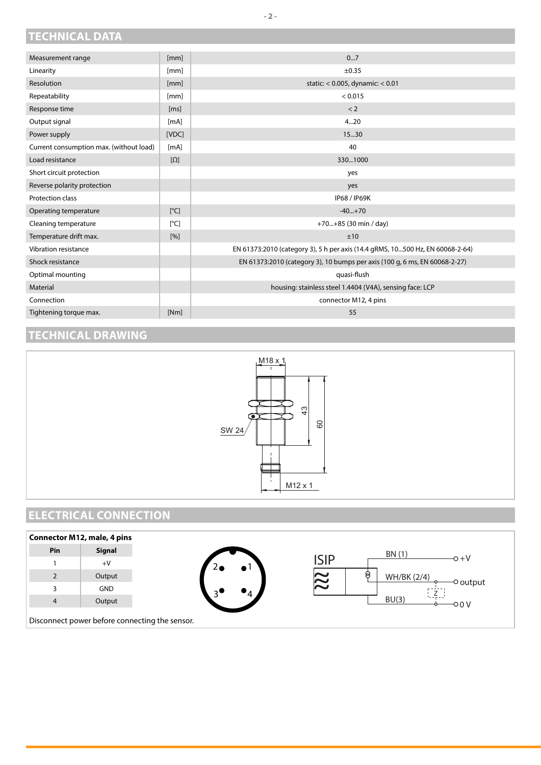## <span id="page-1-0"></span>**TECHNICAL DATA**

| [mm]                      | 07                                                                            |
|---------------------------|-------------------------------------------------------------------------------|
| [mm]                      | ±0.35                                                                         |
| [mm]                      | static: < 0.005, dynamic: < 0.01                                              |
| [mm]                      | < 0.015                                                                       |
| [ms]                      | < 2                                                                           |
| [mA]                      | 420                                                                           |
| [VDC]                     | 15.30                                                                         |
| [mA]                      | 40                                                                            |
| $[\Omega]$                | 3301000                                                                       |
|                           | yes                                                                           |
|                           | yes                                                                           |
|                           | <b>IP68 / IP69K</b>                                                           |
| [°C]                      | $-40+70$                                                                      |
| $\lceil{^{\circ}C}\rceil$ | $+70+85$ (30 min / day)                                                       |
| [%]                       | ±10                                                                           |
|                           | EN 61373:2010 (category 3), 5 h per axis (14.4 gRMS, 10500 Hz, EN 60068-2-64) |
|                           | EN 61373:2010 (category 3), 10 bumps per axis (100 g, 6 ms, EN 60068-2-27)    |
|                           | quasi-flush                                                                   |
|                           | housing: stainless steel 1.4404 (V4A), sensing face: LCP                      |
|                           | connector M12, 4 pins                                                         |
| [Nm]                      | 55                                                                            |
|                           |                                                                               |

## **TECHNICAL DRAWING**



# **ELECTRICAL CONNECTION**



**- 2 -**